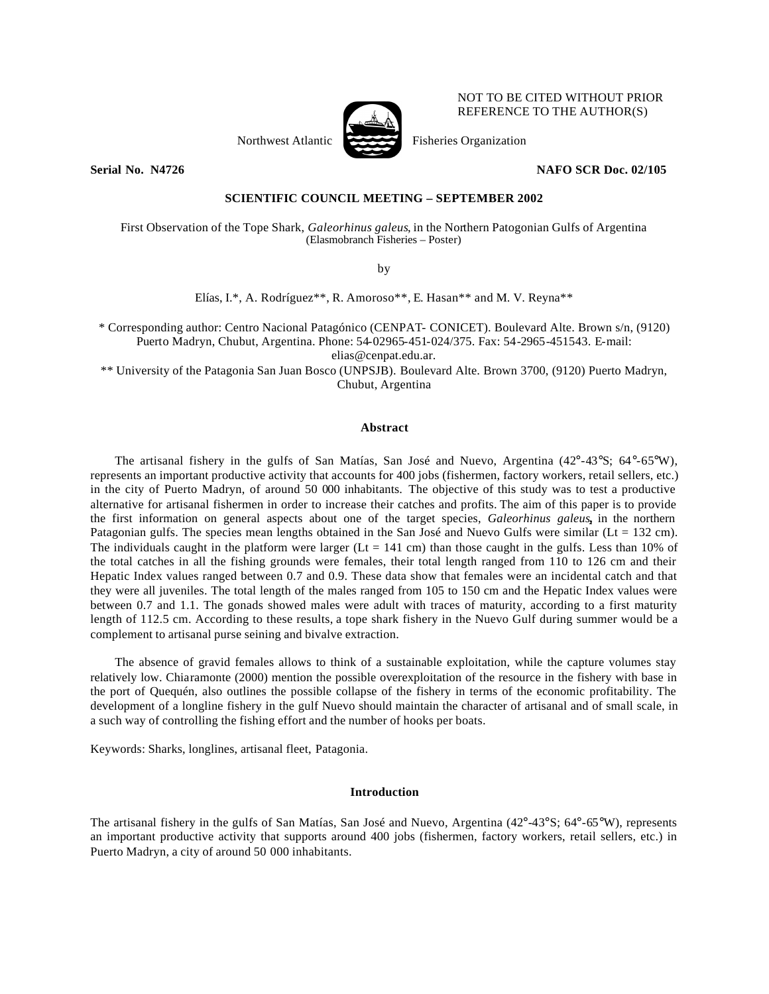

NOT TO BE CITED WITHOUT PRIOR REFERENCE TO THE AUTHOR(S)

## **Serial No. N4726 NAFO SCR Doc. 02/105**

## **SCIENTIFIC COUNCIL MEETING – SEPTEMBER 2002**

First Observation of the Tope Shark, *Galeorhinus galeus*, in the Northern Patogonian Gulfs of Argentina (Elasmobranch Fisheries – Poster)

by

Elías, I.\*, A. Rodríguez\*\*, R. Amoroso\*\*, E. Hasan\*\* and M. V. Reyna\*\*

\* Corresponding author: Centro Nacional Patagónico (CENPAT- CONICET). Boulevard Alte. Brown s/n, (9120) Puerto Madryn, Chubut, Argentina. Phone: 54-02965-451-024/375. Fax: 54-2965-451543. E-mail: elias@cenpat.edu.ar.

\*\* University of the Patagonia San Juan Bosco (UNPSJB). Boulevard Alte. Brown 3700, (9120) Puerto Madryn, Chubut, Argentina

# **Abstract**

The artisanal fishery in the gulfs of San Matías, San José and Nuevo, Argentina (42°-43°S; 64°-65°W), represents an important productive activity that accounts for 400 jobs (fishermen, factory workers, retail sellers, etc.) in the city of Puerto Madryn, of around 50 000 inhabitants. The objective of this study was to test a productive alternative for artisanal fishermen in order to increase their catches and profits. The aim of this paper is to provide the first information on general aspects about one of the target species, *Galeorhinus galeus***,** in the northern Patagonian gulfs. The species mean lengths obtained in the San José and Nuevo Gulfs were similar ( $Lt = 132$  cm). The individuals caught in the platform were larger (Lt = 141 cm) than those caught in the gulfs. Less than 10% of the total catches in all the fishing grounds were females, their total length ranged from 110 to 126 cm and their Hepatic Index values ranged between 0.7 and 0.9. These data show that females were an incidental catch and that they were all juveniles. The total length of the males ranged from 105 to 150 cm and the Hepatic Index values were between 0.7 and 1.1. The gonads showed males were adult with traces of maturity, according to a first maturity length of 112.5 cm. According to these results, a tope shark fishery in the Nuevo Gulf during summer would be a complement to artisanal purse seining and bivalve extraction.

The absence of gravid females allows to think of a sustainable exploitation, while the capture volumes stay relatively low. Chiaramonte (2000) mention the possible overexploitation of the resource in the fishery with base in the port of Quequén, also outlines the possible collapse of the fishery in terms of the economic profitability. The development of a longline fishery in the gulf Nuevo should maintain the character of artisanal and of small scale, in a such way of controlling the fishing effort and the number of hooks per boats.

Keywords: Sharks, longlines, artisanal fleet, Patagonia.

### **Introduction**

The artisanal fishery in the gulfs of San Matías, San José and Nuevo, Argentina (42°-43°S; 64°-65°W), represents an important productive activity that supports around 400 jobs (fishermen, factory workers, retail sellers, etc.) in Puerto Madryn, a city of around 50 000 inhabitants.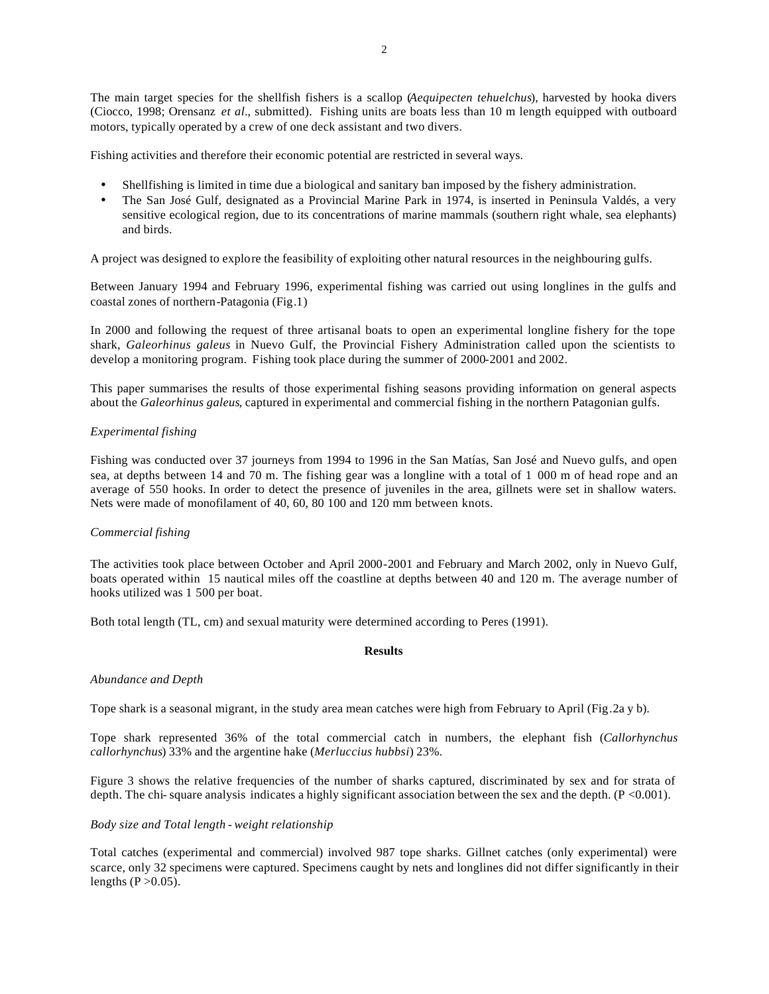The main target species for the shellfish fishers is a scallop (*Aequipecten tehuelchus*), harvested by hooka divers (Ciocco, 1998; Orensanz *et al.*, submitted). Fishing units are boats less than 10 m length equipped with outboard motors, typically operated by a crew of one deck assistant and two divers.

Fishing activities and therefore their economic potential are restricted in several ways.

- Shellfishing is limited in time due a biological and sanitary ban imposed by the fishery administration.
- The San José Gulf, designated as a Provincial Marine Park in 1974, is inserted in Peninsula Valdés, a very sensitive ecological region, due to its concentrations of marine mammals (southern right whale, sea elephants) and birds.

A project was designed to explore the feasibility of exploiting other natural resources in the neighbouring gulfs.

Between January 1994 and February 1996, experimental fishing was carried out using longlines in the gulfs and coastal zones of northern-Patagonia (Fig.1)

In 2000 and following the request of three artisanal boats to open an experimental longline fishery for the tope shark, *Galeorhinus galeus* in Nuevo Gulf, the Provincial Fishery Administration called upon the scientists to develop a monitoring program. Fishing took place during the summer of 2000-2001 and 2002.

This paper summarises the results of those experimental fishing seasons providing information on general aspects about the *Galeorhinus galeus*, captured in experimental and commercial fishing in the northern Patagonian gulfs.

## *Experimental fishing*

Fishing was conducted over 37 journeys from 1994 to 1996 in the San Matías, San José and Nuevo gulfs, and open sea, at depths between 14 and 70 m. The fishing gear was a longline with a total of 1 000 m of head rope and an average of 550 hooks. In order to detect the presence of juveniles in the area, gillnets were set in shallow waters. Nets were made of monofilament of 40, 60, 80 100 and 120 mm between knots.

### *Commercial fishing*

The activities took place between October and April 2000-2001 and February and March 2002, only in Nuevo Gulf, boats operated within 15 nautical miles off the coastline at depths between 40 and 120 m. The average number of hooks utilized was 1 500 per boat.

Both total length (TL, cm) and sexual maturity were determined according to Peres (1991).

## **Results**

#### *Abundance and Depth*

Tope shark is a seasonal migrant, in the study area mean catches were high from February to April (Fig.2a y b).

Tope shark represented 36% of the total commercial catch in numbers, the elephant fish (*Callorhynchus callorhynchus*) 33% and the argentine hake (*Merluccius hubbsi*) 23%.

Figure 3 shows the relative frequencies of the number of sharks captured, discriminated by sex and for strata of depth. The chi- square analysis indicates a highly significant association between the sex and the depth.  $(P < 0.001)$ .

### *Body size and Total length - weight relationship*

Total catches (experimental and commercial) involved 987 tope sharks. Gillnet catches (only experimental) were scarce, only 32 specimens were captured. Specimens caught by nets and longlines did not differ significantly in their lengths  $(P > 0.05)$ .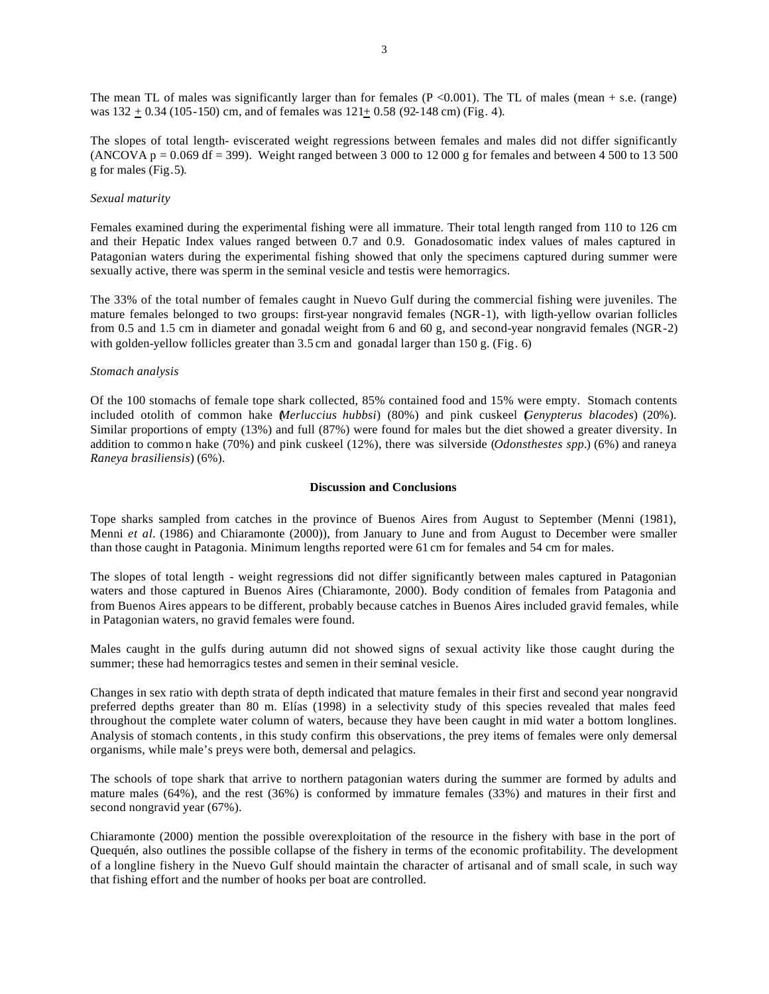The mean TL of males was significantly larger than for females ( $P < 0.001$ ). The TL of males (mean + s.e. (range) was 132 + 0.34 (105-150) cm, and of females was 121+ 0.58 (92-148 cm) (Fig. 4).

The slopes of total length- eviscerated weight regressions between females and males did not differ significantly (ANCOVA p = 0.069 df = 399). Weight ranged between 3 000 to 12 000 g for females and between 4 500 to 13 500 g for males (Fig.5).

### *Sexual maturity*

Females examined during the experimental fishing were all immature. Their total length ranged from 110 to 126 cm and their Hepatic Index values ranged between 0.7 and 0.9. Gonadosomatic index values of males captured in Patagonian waters during the experimental fishing showed that only the specimens captured during summer were sexually active, there was sperm in the seminal vesicle and testis were hemorragics.

The 33% of the total number of females caught in Nuevo Gulf during the commercial fishing were juveniles. The mature females belonged to two groups: first-year nongravid females (NGR-1), with ligth-yellow ovarian follicles from 0.5 and 1.5 cm in diameter and gonadal weight from 6 and 60 g, and second-year nongravid females (NGR-2) with golden-yellow follicles greater than 3.5 cm and gonadal larger than 150 g. (Fig. 6)

## *Stomach analysis*

Of the 100 stomachs of female tope shark collected, 85% contained food and 15% were empty. Stomach contents included otolith of common hake (*Merluccius hubbsi*) (80%) and pink cuskeel (*Genypterus blacodes*) (20%). Similar proportions of empty (13%) and full (87%) were found for males but the diet showed a greater diversity. In addition to commo n hake (70%) and pink cuskeel (12%), there was silverside (*Odonsthestes spp.*) (6%) and raneya *Raneya brasiliensis*) (6%).

### **Discussion and Conclusions**

Tope sharks sampled from catches in the province of Buenos Aires from August to September (Menni (1981), Menni *et al.* (1986) and Chiaramonte (2000)), from January to June and from August to December were smaller than those caught in Patagonia. Minimum lengths reported were 61 cm for females and 54 cm for males.

The slopes of total length - weight regressions did not differ significantly between males captured in Patagonian waters and those captured in Buenos Aires (Chiaramonte, 2000). Body condition of females from Patagonia and from Buenos Aires appears to be different, probably because catches in Buenos Aires included gravid females, while in Patagonian waters, no gravid females were found.

Males caught in the gulfs during autumn did not showed signs of sexual activity like those caught during the summer; these had hemorragics testes and semen in their seminal vesicle.

Changes in sex ratio with depth strata of depth indicated that mature females in their first and second year nongravid preferred depths greater than 80 m. Elías (1998) in a selectivity study of this species revealed that males feed throughout the complete water column of waters, because they have been caught in mid water a bottom longlines. Analysis of stomach contents, in this study confirm this observations, the prey items of females were only demersal organisms, while male's preys were both, demersal and pelagics.

The schools of tope shark that arrive to northern patagonian waters during the summer are formed by adults and mature males (64%), and the rest (36%) is conformed by immature females (33%) and matures in their first and second nongravid year (67%).

Chiaramonte (2000) mention the possible overexploitation of the resource in the fishery with base in the port of Quequén, also outlines the possible collapse of the fishery in terms of the economic profitability. The development of a longline fishery in the Nuevo Gulf should maintain the character of artisanal and of small scale, in such way that fishing effort and the number of hooks per boat are controlled.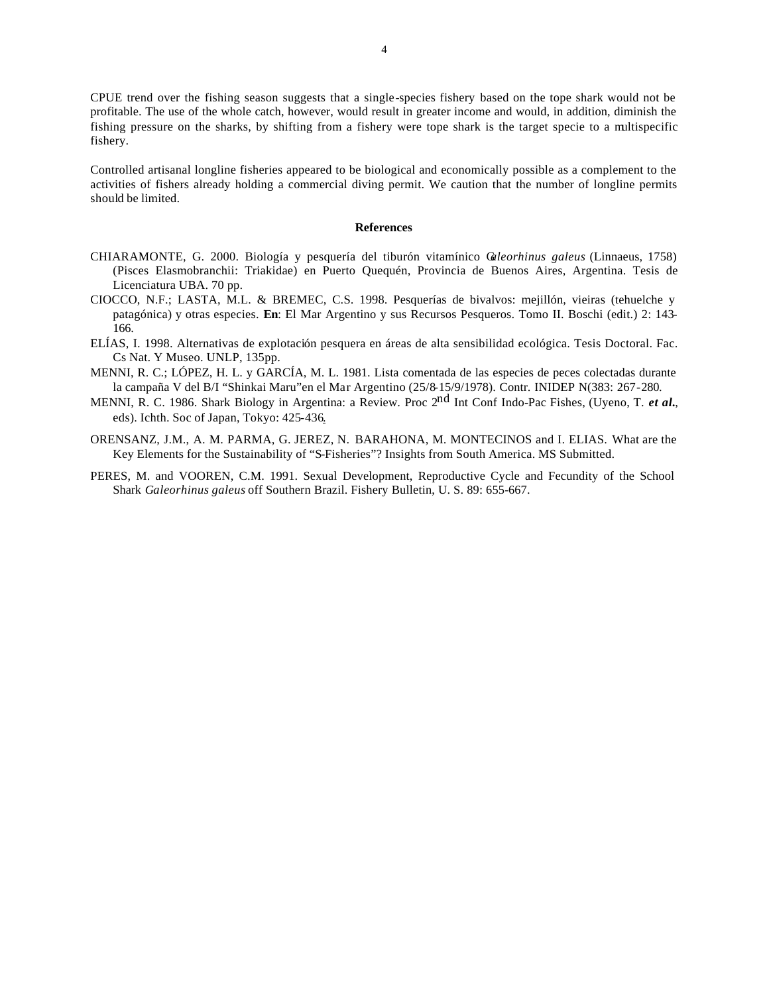CPUE trend over the fishing season suggests that a single-species fishery based on the tope shark would not be profitable. The use of the whole catch, however, would result in greater income and would, in addition, diminish the fishing pressure on the sharks, by shifting from a fishery were tope shark is the target specie to a multispecific fishery.

Controlled artisanal longline fisheries appeared to be biological and economically possible as a complement to the activities of fishers already holding a commercial diving permit. We caution that the number of longline permits should be limited.

#### **References**

- CHIARAMONTE, G. 2000. Biología y pesquería del tiburón vitamínico G*aleorhinus galeus* (Linnaeus, 1758) (Pisces Elasmobranchii: Triakidae) en Puerto Quequén, Provincia de Buenos Aires, Argentina. Tesis de Licenciatura UBA. 70 pp.
- CIOCCO, N.F.; LASTA, M.L. & BREMEC, C.S. 1998. Pesquerías de bivalvos: mejillón, vieiras (tehuelche y patagónica) y otras especies. **En**: El Mar Argentino y sus Recursos Pesqueros. Tomo II. Boschi (edit.) 2: 143- 166.
- ELÍAS, I. 1998. Alternativas de explotación pesquera en áreas de alta sensibilidad ecológica. Tesis Doctoral. Fac. Cs Nat. Y Museo. UNLP, 135pp.
- MENNI, R. C.; LÓPEZ, H. L. y GARCÍA, M. L. 1981. Lista comentada de las especies de peces colectadas durante la campaña V del B/I "Shinkai Maru"en el Mar Argentino (25/8-15/9/1978). Contr. INIDEP N(383: 267-280.
- MENNI, R. C. 1986. Shark Biology in Argentina: a Review. Proc 2nd Int Conf Indo-Pac Fishes, (Uyeno, T. *et al.*, eds). Ichth. Soc of Japan, Tokyo: 425-436.
- ORENSANZ, J.M., A. M. PARMA, G. JEREZ, N. BARAHONA, M. MONTECINOS and I. ELIAS. What are the Key Elements for the Sustainability of "S-Fisheries"? Insights from South America. MS Submitted.
- PERES, M. and VOOREN, C.M. 1991. Sexual Development, Reproductive Cycle and Fecundity of the School Shark *Galeorhinus galeus* off Southern Brazil. Fishery Bulletin, U. S. 89: 655-667.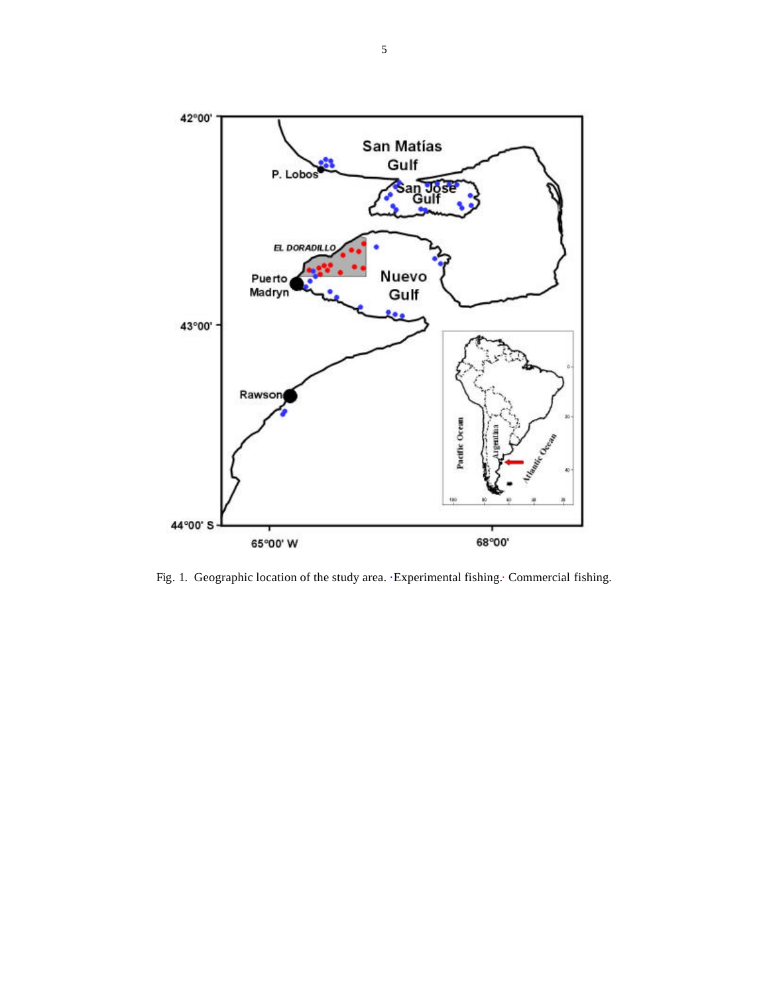

Fig. 1. Geographic location of the study area. ·Experimental fishing.· Commercial fishing.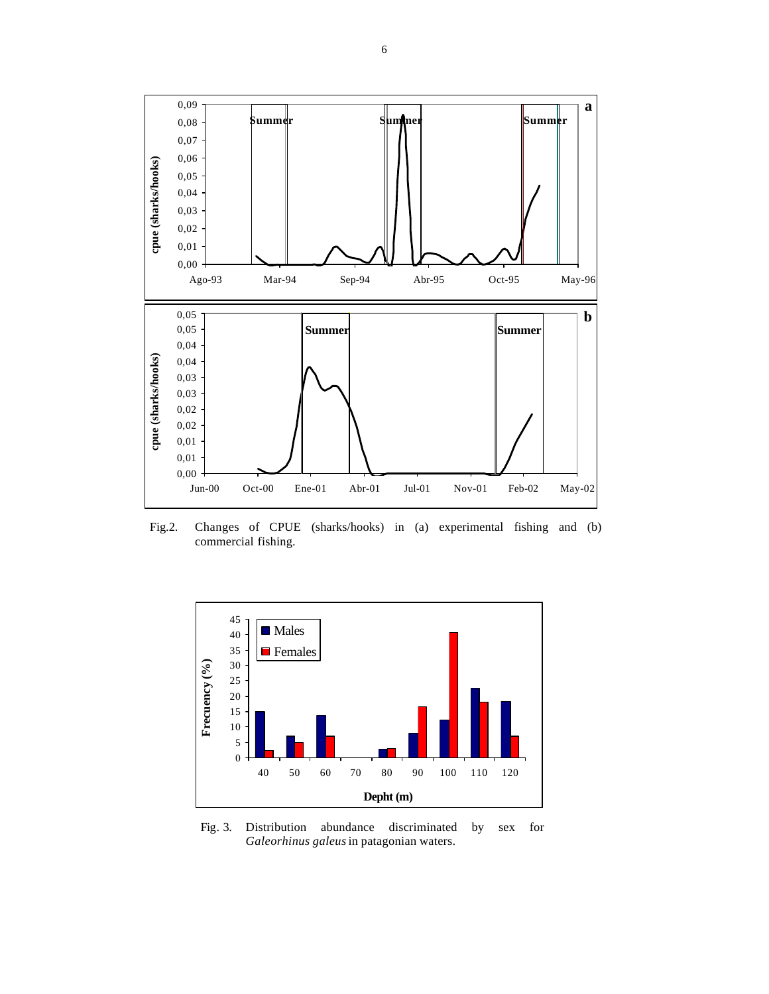

Fig.2. Changes of CPUE (sharks/hooks) in (a) experimental fishing and (b) commercial fishing.



Fig. 3. Distribution abundance discriminated by sex for *Galeorhinus galeus* in patagonian waters.